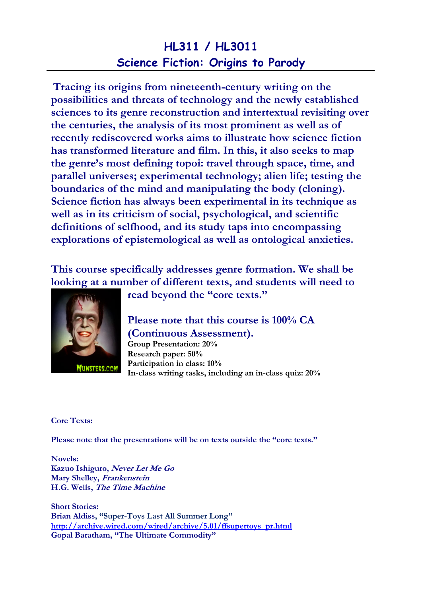## HL311 / HL3011 Science Fiction: Origins to Parody

Tracing its origins from nineteenth-century writing on the possibilities and threats of technology and the newly established sciences to its genre reconstruction and intertextual revisiting over the centuries, the analysis of its most prominent as well as of recently rediscovered works aims to illustrate how science fiction has transformed literature and film. In this, it also seeks to map the genre's most defining topoi: travel through space, time, and parallel universes; experimental technology; alien life; testing the boundaries of the mind and manipulating the body (cloning). Science fiction has always been experimental in its technique as well as in its criticism of social, psychological, and scientific definitions of selfhood, and its study taps into encompassing explorations of epistemological as well as ontological anxieties.

This course specifically addresses genre formation. We shall be looking at a number of different texts, and students will need to



read beyond the "core texts."

## Please note that this course is 100% CA (Continuous Assessment).

Group Presentation: 20% Research paper: 50% Participation in class: 10% In-class writing tasks, including an in-class quiz: 20%

Core Texts:

Please note that the presentations will be on texts outside the "core texts."

Novels: Kazuo Ishiguro, Never Let Me Go Mary Shelley, Frankenstein H.G. Wells, The Time Machine

Short Stories: Brian Aldiss, "Super-Toys Last All Summer Long" http://archive.wired.com/wired/archive/5.01/ffsupertoys\_pr.html Gopal Baratham, "The Ultimate Commodity"